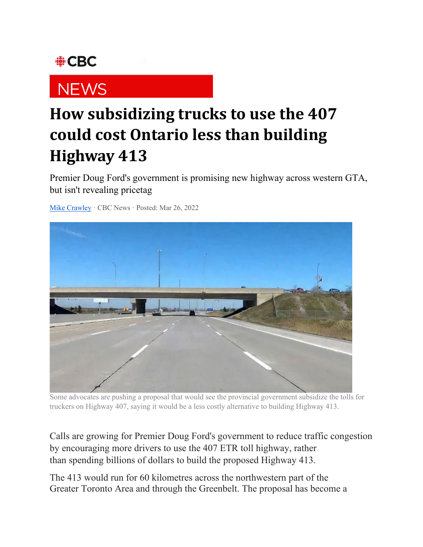## **OBC**

## **NEWS**

## **How subsidizing trucks to use the 407 could cost Ontario less than building Highway 413**

Premier Doug Ford's government is promising new highway across western GTA, but isn't revealing pricetag

[Mike Crawley](https://www.cbc.ca/news/canada/toronto/author/mike-crawley-1.3065736) · CBC News · Posted: Mar 26, 2022



Some advocates are pushing a proposal that would see the provincial government subsidize the tolls for truckers on Highway 407, saying it would be a less costly alternative to building Highway 413.

Calls are growing for Premier Doug Ford's government to reduce traffic congestion by encouraging more drivers to use the 407 ETR toll highway, rather than spending billions of dollars to build the proposed Highway 413.

The 413 would run for 60 kilometres across the northwestern part of the Greater Toronto Area and through the Greenbelt. The proposal has become a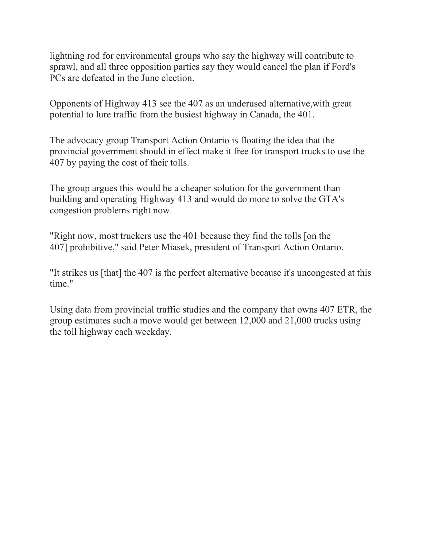lightning rod for environmental groups who say the highway will contribute to sprawl, and all three opposition parties say they would cancel the plan if Ford's PCs are defeated in the June election.

Opponents of Highway 413 see the 407 as an underused alternative,with great potential to lure traffic from the busiest highway in Canada, the 401.

The advocacy group Transport Action Ontario is floating the idea that the provincial government should in effect make it free for transport trucks to use the 407 by paying the cost of their tolls.

The group argues this would be a cheaper solution for the government than building and operating Highway 413 and would do more to solve the GTA's congestion problems right now.

"Right now, most truckers use the 401 because they find the tolls [on the 407] prohibitive," said Peter Miasek, president of Transport Action Ontario.

"It strikes us [that] the 407 is the perfect alternative because it's uncongested at this time."

Using data from provincial traffic studies and the company that owns 407 ETR, the group estimates such a move would get between 12,000 and 21,000 trucks using the toll highway each weekday.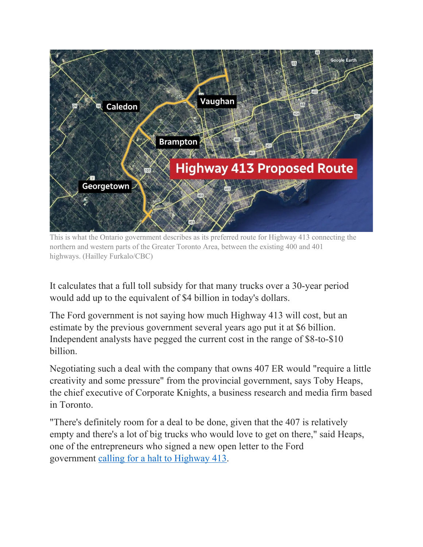

This is what the Ontario government describes as its preferred route for Highway 413 connecting the northern and western parts of the Greater Toronto Area, between the existing 400 and 401 highways. (Hailley Furkalo/CBC)

It calculates that a full toll subsidy for that many trucks over a 30-year period would add up to the equivalent of \$4 billion in today's dollars.

The Ford government is not saying how much Highway 413 will cost, but an estimate by the previous government several years ago put it at \$6 billion. Independent analysts have pegged the current cost in the range of \$8-to-\$10 billion.

Negotiating such a deal with the company that owns 407 ER would "require a little creativity and some pressure" from the provincial government, says Toby Heaps, the chief executive of Corporate Knights, a business research and media firm based in Toronto.

"There's definitely room for a deal to be done, given that the 407 is relatively empty and there's a lot of big trucks who would love to get on there," said Heaps, one of the entrepreneurs who signed a new open letter to the Ford government [calling for a halt to Highway 413.](https://www.cbc.ca/news/canada/toronto/highway-413-open-letter-to-doug-ford-1.6389569)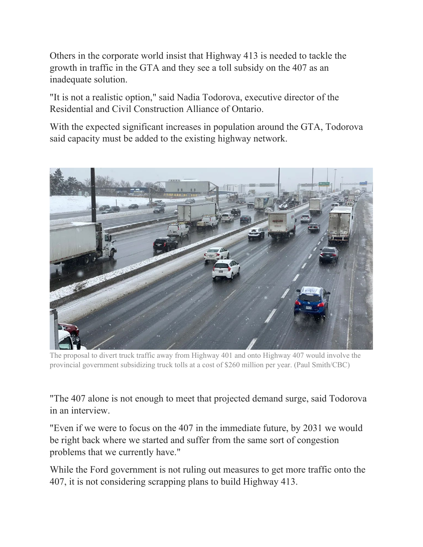Others in the corporate world insist that Highway 413 is needed to tackle the growth in traffic in the GTA and they see a toll subsidy on the 407 as an inadequate solution.

"It is not a realistic option," said Nadia Todorova, executive director of the Residential and Civil Construction Alliance of Ontario.

With the expected significant increases in population around the GTA, Todorova said capacity must be added to the existing highway network.



The proposal to divert truck traffic away from Highway 401 and onto Highway 407 would involve the provincial government subsidizing truck tolls at a cost of \$260 million per year. (Paul Smith/CBC)

"The 407 alone is not enough to meet that projected demand surge, said Todorova in an interview.

"Even if we were to focus on the 407 in the immediate future, by 2031 we would be right back where we started and suffer from the same sort of congestion problems that we currently have."

While the Ford government is not ruling out measures to get more traffic onto the 407, it is not considering scrapping plans to build Highway 413.